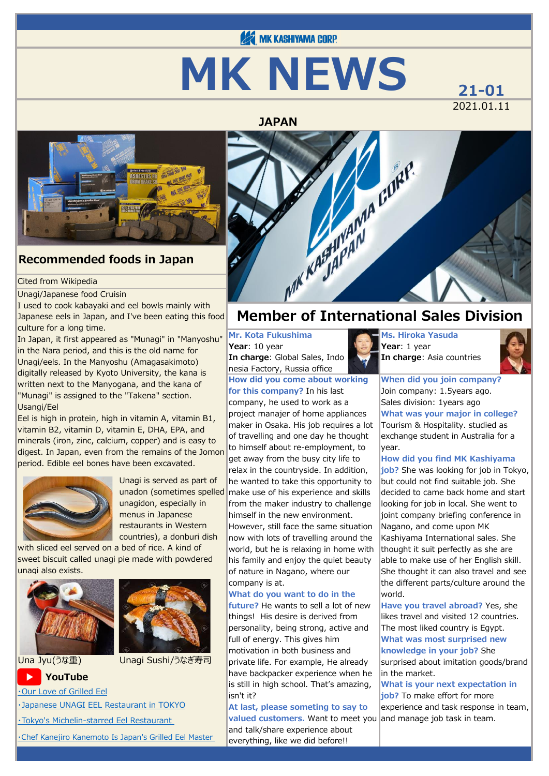# **122 MK KASHIYAMA CORP. MK NEWS**  $_{21-01}$

2021.01.11



### **Recommended foods in Japan**

#### Cited from Wikipedia

#### Unagi/Japanese food Cruisin

I used to cook kabayaki and eel bowls mainly with Japanese eels in Japan, and I've been eating this food culture for a long time.

In Japan, it first appeared as "Munagi" in "Manyoshu" in the Nara period, and this is the old name for Unagi/eels. In the Manyoshu (Amagasakimoto) digitally released by Kyoto University, the kana is written next to the Manyogana, and the kana of "Munagi" is assigned to the "Takena" section. Usangi/Eel

Eel is high in protein, high in vitamin A, vitamin B1, vitamin B2, vitamin D, vitamin E, DHA, EPA, and minerals (iron, zinc, calcium, copper) and is easy to digest. In Japan, even from the remains of the Jomon period. Edible eel bones have been excavated.



Unagi is served as part of unadon (sometimes spelled unagidon, especially in menus in Japanese restaurants in Western countries), a donburi dish

with sliced eel served on a bed of rice. A kind of sweet biscuit called unagi pie made with powdered unagi also exists.



#### Una Jyu(うな重) Unagi Sushi/うなぎ寿司

#### **YouTube**

[・Our Love of Grilled Eel](https://www.youtube.com/watch?v=TVEU-Pfj5eA)

[・Japanese UNAGI EEL Restaurant in TOKYO](https://www.youtube.com/watch?v=7WsV0LUEjs0)

[・Tokyo's Michelin-starred Eel Restaurant](https://www.youtube.com/watch?v=dn88LiPOKMc) 

[・Chef Kanejiro Kanemoto Is Japan's Grilled Eel Master](https://www.youtube.com/watch?v=1sqLCUuMMfo) 



#### **Mr. Kota Fukushima**

**Year**: 10 year **In charge**: Global Sales, Indo nesia Factory, Russia office

**How did you come about working for this company?** In his last company, he used to work as a project manajer of home appliances maker in Osaka. His job requires a lot of travelling and one day he thought to himself about re-employment, to get away from the busy city life to relax in the countryside. In addition, he wanted to take this opportunity to make use of his experience and skills from the maker industry to challenge himself in the new environment. However, still face the same situation now with lots of travelling around the world, but he is relaxing in home with his family and enjoy the quiet beauty of nature in Nagano, where our company is at.

#### **What do you want to do in the**

**future?** He wants to sell a lot of new things! His desire is derived from personality, being strong, active and full of energy. This gives him motivation in both business and private life. For example, He already have backpacker experience when he is still in high school. That's amazing, isn't it?

#### **At last, please someting to say to valued customers.** Want to meet you and talk/share experience about everything, like we did before!!

**Ms. Hiroka Yasuda Year**: 1 year **In charge**: Asia countries



**When did you join company?** Join company: 1.5years ago. Sales division: 1years ago **What was your major in college?** Tourism & Hospitality. studied as exchange student in Australia for a year.

#### **How did you find MK Kashiyama**

**job?** She was looking for job in Tokyo, but could not find suitable job. She decided to came back home and start looking for job in local. She went to joint company briefing conference in Nagano, and come upon MK Kashiyama International sales. She thought it suit perfectly as she are able to make use of her English skill. She thought it can also travel and see the different parts/culture around the world.

**Have you travel abroad?** Yes, she likes travel and visited 12 countries. The most liked country is Egypt. **What was most surprised new knowledge in your job?** She surprised about imitation goods/brand in the market.

**What is your next expectation in job?** To make effort for more experience and task response in team, and manage job task in team.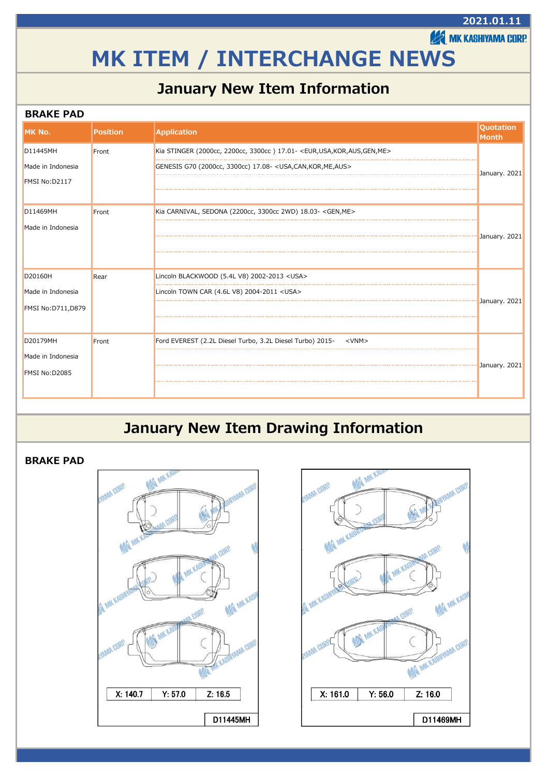# **MK ITEM / INTERCHANGE NEWS**

### **January New Item Information**

#### **BRAKE PAD**

| <b>IMK No.</b>           | <b>Position</b> | <b>Application</b>                                                                              | <b>Quotation</b><br>Month |
|--------------------------|-----------------|-------------------------------------------------------------------------------------------------|---------------------------|
| D11445MH                 | Front           | Kia STINGER (2000cc, 2200cc, 3300cc) 17.01- <eur, aus,="" gen,="" kor,="" me="" usa,=""></eur,> |                           |
| Made in Indonesia        |                 | GENESIS G70 (2000cc, 3300cc) 17.08- < USA, CAN, KOR, ME, AUS>                                   | January. 2021             |
| FMSI No:D2117            |                 |                                                                                                 |                           |
| D11469MH                 | Front           | Kia CARNIVAL, SEDONA (2200cc, 3300cc 2WD) 18.03- <gen, me=""></gen,>                            |                           |
| Made in Indonesia        |                 |                                                                                                 | January. 2021             |
|                          |                 |                                                                                                 |                           |
| D20160H                  | Rear            | Lincoln BLACKWOOD (5.4L V8) 2002-2013 <usa></usa>                                               |                           |
| Made in Indonesia        |                 | Lincoln TOWN CAR (4.6L V8) 2004-2011 <usa></usa>                                                |                           |
| <b>FMSI No:D711,D879</b> |                 |                                                                                                 | January. 2021             |
| D20179MH                 | Front           | Ford EVEREST (2.2L Diesel Turbo, 3.2L Diesel Turbo) 2015- <vnm></vnm>                           |                           |
| Made in Indonesia        |                 |                                                                                                 |                           |
| FMSI No:D2085            |                 |                                                                                                 | January. 2021             |

### **January New Item Drawing Information**

#### **BRAKE PAD**





#### **2021.01.11**

**EXAMIK KASHIYAMA CORP.**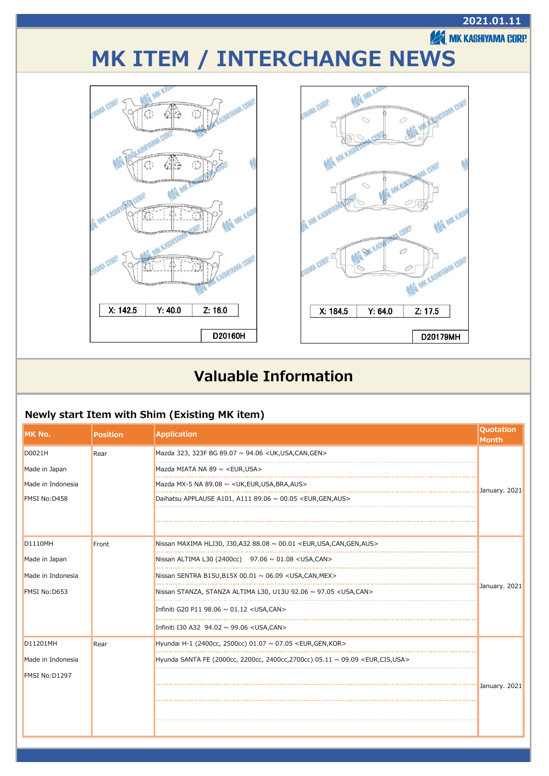

### **Valuable Information**

#### **Newly start Item with Shim (Existing MK item)**

| MK No.            | <b>Position</b> | <b>Application</b>                                                                            | <b>Quotation</b><br><b>Month</b> |
|-------------------|-----------------|-----------------------------------------------------------------------------------------------|----------------------------------|
| D0021H            | Rear            | Mazda 323, 323F BG 89.07 ~ 94.06 < UK, USA, CAN, GEN >                                        |                                  |
| Made in Japan     |                 | Mazda MIATA NA 89 $\sim$ <eur.usa></eur.usa>                                                  |                                  |
| Made in Indonesia |                 | Mazda MX-5 NA 89.08 $\sim$ <uk, aus="" bra,="" eur,="" usa,=""></uk,>                         | January. 2021                    |
| FMSI No:D458      |                 | Daihatsu APPLAUSE A101, A111 89.06 $\sim$ 00.05 <eur, aus="" gen,=""></eur,>                  |                                  |
|                   |                 |                                                                                               |                                  |
|                   |                 |                                                                                               |                                  |
| <b>D1110MH</b>    | Front           | Nissan MAXIMA HLJ30, J30, A32 88.08 $\sim$ 00.01 <eur, aus="" can,="" gen,="" usa,=""></eur,> |                                  |
| Made in Japan     |                 | Nissan ALTIMA L30 (2400cc) $97.06 \sim 01.08 <$ USA,CAN>                                      |                                  |
| Made in Indonesia |                 | Nissan SENTRA B15U,B15X 00.01 $\sim$ 06.09 < USA,CAN, MEX >                                   |                                  |
| FMSI No:D653      |                 | Nissan STANZA, STANZA ALTIMA L30, U13U 92.06 ~ 97.05 < USA, CAN>                              | January. 2021                    |
|                   |                 | Infiniti G20 P11 98.06 ~ 01.12 <usa, can=""></usa,>                                           |                                  |
|                   |                 | Infiniti I30 A32 94.02 ~ 99.06 < USA, CAN >                                                   |                                  |
| D11201MH          | Rear            | Hyundai H-1 (2400cc, 2500cc) 01.07 ~ 07.05 <eur, gen,="" kor=""></eur,>                       |                                  |
| Made in Indonesia |                 | Hyunda SANTA FE (2000cc, 2200cc, 2400cc, 2700cc) 05.11 ~ 09.09 <eur, cis,="" usa=""></eur,>   |                                  |
| FMSI No:D1297     |                 |                                                                                               |                                  |
|                   |                 |                                                                                               | January. 2021                    |
|                   |                 |                                                                                               |                                  |
|                   |                 |                                                                                               |                                  |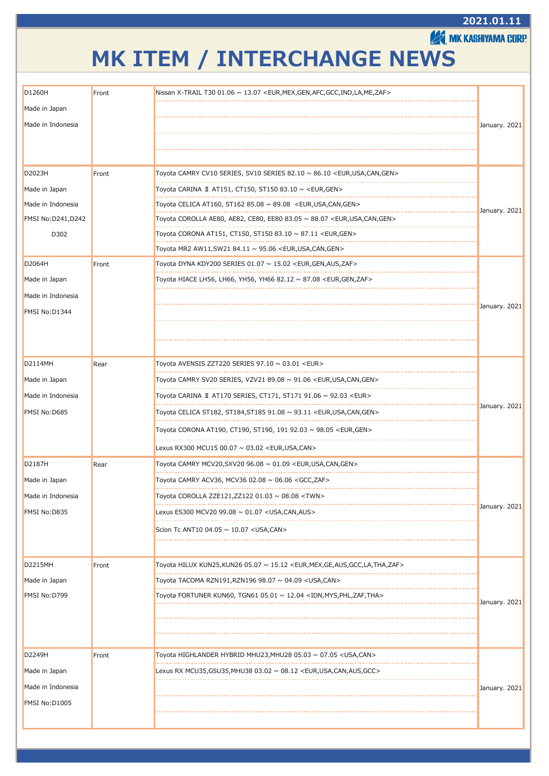#### **2021.01.11**

**EXAMIK KASHIYAMA CORP.** 

# **MK ITEM / INTERCHANGE NEWS**

| D1260H                             | Front | Nissan X-TRAIL T30 01.06 $\sim$ 13.07 <eur, afc,="" gcc,="" gen,="" ind,="" la,="" me,="" mex,="" zaf=""></eur,>                                                  |               |
|------------------------------------|-------|-------------------------------------------------------------------------------------------------------------------------------------------------------------------|---------------|
| Made in Japan                      |       |                                                                                                                                                                   |               |
| Made in Indonesia                  |       |                                                                                                                                                                   | January. 2021 |
|                                    |       |                                                                                                                                                                   |               |
|                                    |       |                                                                                                                                                                   |               |
| D2023H                             | Front | Toyota CAMRY CV10 SERIES, SV10 SERIES 82.10 $\sim$ 86.10 <eur,usa,can,gen></eur,usa,can,gen>                                                                      |               |
| Made in Japan<br>Made in Indonesia |       | Toyota CARINA II AT151, CT150, ST150 83.10 ~ <eur, gen=""></eur,>                                                                                                 |               |
|                                    |       | Toyota CELICA AT160, ST162 85.08 $\sim$ 89.08 <eur, can,="" gen="" usa,=""></eur,>                                                                                | January. 2021 |
| <b>FMSI No:D241,D242</b><br>D302   |       | Toyota COROLLA AE80, AE82, CE80, EE80 83.05 ~ 88.07 <eur, can,="" gen="" usa,=""><br/>Toyota CORONA AT151, CT150, ST150 83.10 ~ 87.11 <eur, gen=""></eur,></eur,> |               |
|                                    |       | Toyota MR2 AW11,SW21 84.11 ~ 95.06 <eur,usa,can,gen></eur,usa,can,gen>                                                                                            |               |
| D2064H                             | Front | Toyota DYNA KDY200 SERIES $01.07 \sim 15.02$ <eur, aus,="" gen,="" zaf=""></eur,>                                                                                 |               |
| Made in Japan                      |       | Toyota HIACE LH56, LH66, YH56, YH66 82.12 ~ 87.08 <eur,gen,zaf></eur,gen,zaf>                                                                                     |               |
|                                    |       |                                                                                                                                                                   |               |
| Made in Indonesia                  |       |                                                                                                                                                                   | January. 2021 |
| FMSI No:D1344                      |       |                                                                                                                                                                   |               |
|                                    |       |                                                                                                                                                                   |               |
|                                    |       |                                                                                                                                                                   |               |
| D2114MH                            | Rear  | Toyota AVENSIS ZZT220 SERIES $97.10 \sim 03.01$ <eur></eur>                                                                                                       |               |
| Made in Japan                      |       | Toyota CAMRY SV20 SERIES, VZV21 89.08 ~ 91.06 <eur, can,="" gen="" usa,=""></eur,>                                                                                |               |
| Made in Indonesia                  |       | Toyota CARINA Ⅱ AT170 SERIES, CT171, ST171 91.06 ~ 92.03 <eur></eur>                                                                                              |               |
| FMSI No:D685                       |       | Toyota CELICA ST182, ST184,ST185 91.08 ~ 93.11 <eur,usa,can,gen></eur,usa,can,gen>                                                                                | January. 2021 |
|                                    |       | Toyota CORONA AT190, CT190, ST190, 191 92.03 ∼ 98.05 <eur,gen></eur,gen>                                                                                          |               |
|                                    |       | Lexus RX300 MCU15 00.07 ~ 03.02 <eur, can="" usa,=""></eur,>                                                                                                      |               |
| D2187H                             | Rear  | Toyota CAMRY MCV20, SXV20 96.08 $\sim$ 01.09 <eur, can,="" gen="" usa,=""></eur,>                                                                                 |               |
| Made in Japan                      |       | Toyota CAMRY ACV36, MCV36 02.08 ∼ 06.06 <gcc,zaf></gcc,zaf>                                                                                                       |               |
| Made in Indonesia                  |       | Toyota COROLLA ZZE121, ZZ122 01.03 ~ 08.08 <twn></twn>                                                                                                            |               |
| FMSI No:D835                       |       | Lexus ES300 MCV20 99.08 $\sim$ 01.07 < USA, CAN, AUS >                                                                                                            | January. 2021 |
|                                    |       | Scion Tc ANT10 04.05 $\sim$ 10.07 < USA, CAN >                                                                                                                    |               |
|                                    |       |                                                                                                                                                                   |               |
| <b>D2215MH</b>                     | Front | Toyota HILUX KUN25,KUN26 05.07 ~ 15.12 <eur,mex,ge,aus,gcc,la,tha,zaf></eur,mex,ge,aus,gcc,la,tha,zaf>                                                            |               |
| Made in Japan                      |       | Toyota TACOMA RZN191,RZN196 98.07 ~ 04.09 <usa,can></usa,can>                                                                                                     |               |
| FMSI No:D799                       |       | Toyota FORTUNER KUN60, TGN61 05.01 $\sim$ 12.04 <idn, mys,="" phl,="" tha<math="" zaf,="">&gt;</idn,>                                                             |               |
|                                    |       |                                                                                                                                                                   | January. 2021 |
|                                    |       |                                                                                                                                                                   |               |
|                                    |       |                                                                                                                                                                   |               |
| D2249H                             | Front | Toyota HIGHLANDER HYBRID MHU23,MHU28 05.03 ~ 07.05 <usa,can></usa,can>                                                                                            |               |
| Made in Japan                      |       | Lexus RX MCU35, GSU35, MHU38 03.02 ~ 08.12 < EUR, USA, CAN, AUS, GCC>                                                                                             |               |
| Made in Indonesia                  |       |                                                                                                                                                                   | January. 2021 |
| FMSI No:D1005                      |       |                                                                                                                                                                   |               |
|                                    |       |                                                                                                                                                                   |               |
|                                    |       |                                                                                                                                                                   |               |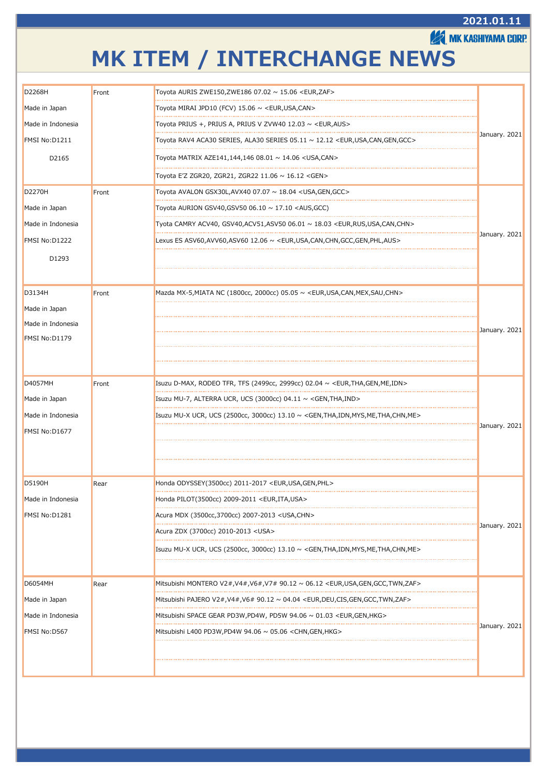#### **2021.01.11**

**EXAMIK KASHIYAMA CORP.** 

## **MK ITEM / INTERCHANGE NEWS**

| D2268H            | Front | Toyota AURIS ZWE150,ZWE186 07.02 ~ 15.06 <eur,zaf></eur,zaf>                                                   |               |
|-------------------|-------|----------------------------------------------------------------------------------------------------------------|---------------|
| Made in Japan     |       | Tovota MIRAI JPD10 (FCV) 15.06 ~ <eur,usa,can></eur,usa,can>                                                   |               |
| Made in Indonesia |       | Toyota PRIUS +, PRIUS A, PRIUS V ZVW40 12.03 $\sim$ <eur, aus=""></eur,>                                       |               |
| FMSI No:D1211     |       | Toyota RAV4 ACA30 SERIES, ALA30 SERIES 05.11 ~ 12.12 <eur,usa,can,gen,gcc></eur,usa,can,gen,gcc>               | January. 2021 |
| D2165             |       | Toyota MATRIX AZE141,144,146 08.01 ~ 14.06 <usa,can></usa,can>                                                 |               |
|                   |       | Toyota E'Z ZGR20, ZGR21, ZGR22 11.06 ~ 16.12 <gen></gen>                                                       |               |
| <b>D2270H</b>     | Front | Toyota AVALON GSX30L,AVX40 07.07 ~ 18.04 <usa,gen,gcc></usa,gen,gcc>                                           |               |
| Made in Japan     |       | Toyota AURION GSV40, GSV50 06.10 $\sim$ 17.10 <aus, gcc)<="" td=""><td></td></aus,>                            |               |
| Made in Indonesia |       | Tyota CAMRY ACV40, GSV40,ACV51,ASV50 06.01 ~ 18.03 <eur,rus,usa,can,chn></eur,rus,usa,can,chn>                 |               |
| FMSI No:D1222     |       | Lexus ES ASV60, AVV60, ASV60 12.06 $\sim$ <eur, aus="" can,="" chn,="" gcc,="" gen,="" phl,="" usa,=""></eur,> | January. 2021 |
| D1293             |       |                                                                                                                |               |
|                   |       |                                                                                                                |               |
| D3134H            | Front | Mazda MX-5, MIATA NC (1800cc, 2000cc) 05.05 $\sim$ <eur, can,="" chn="" mex,="" sau,="" usa,=""></eur,>        |               |
| Made in Japan     |       |                                                                                                                |               |
| Made in Indonesia |       |                                                                                                                | January. 2021 |
| FMSI No:D1179     |       |                                                                                                                |               |
|                   |       |                                                                                                                |               |
| D4057MH           | Front | Isuzu D-MAX, RODEO TFR, TFS (2499cc, 2999cc) 02.04 $\sim$ <eur, gen,="" idn="" me,="" tha,=""></eur,>          |               |
| Made in Japan     |       | Isuzu MU-7, ALTERRA UCR, UCS (3000cc) 04.11 $\sim$ <gen, ind="" tha,=""></gen,>                                |               |
| Made in Indonesia |       | Isuzu MU-X UCR, UCS (2500cc, 3000cc) 13.10 ∼ <gen,tha,idn,mys,me,tha,chn,me></gen,tha,idn,mys,me,tha,chn,me>   |               |
| FMSI No:D1677     |       |                                                                                                                | January. 2021 |
|                   |       |                                                                                                                |               |
|                   |       |                                                                                                                |               |
| D5190H            | Rear  | Honda ODYSSEY(3500cc) 2011-2017 <eur,usa,gen,phl></eur,usa,gen,phl>                                            |               |
| Made in Indonesia |       | Honda PILOT(3500cc) 2009-2011 <eur, ita,="" usa=""></eur,>                                                     |               |
| FMSI No:D1281     |       | Acura MDX (3500cc, 3700cc) 2007-2013 < USA, CHN >                                                              |               |
|                   |       | Acura ZDX (3700cc) 2010-2013 <usa></usa>                                                                       | January. 2021 |
|                   |       | Isuzu MU-X UCR, UCS (2500cc, 3000cc) 13.10 ∼ <gen,tha,idn,mys,me,tha,chn,me></gen,tha,idn,mys,me,tha,chn,me>   |               |
|                   |       |                                                                                                                |               |
| <b>D6054MH</b>    | Rear  | Mitsubishi MONTERO V2#,V4#,V6#,V7# 90.12 ~ 06.12 <eur,usa,gen,gcc,twn,zaf></eur,usa,gen,gcc,twn,zaf>           |               |
| Made in Japan     |       | Mitsubishi PAJERO V2#,V4#,V6# 90.12 ~ 04.04 <eur,deu,cis,gen,gcc,twn,zaf></eur,deu,cis,gen,gcc,twn,zaf>        |               |
| Made in Indonesia |       | Mitsubishi SPACE GEAR PD3W,PD4W, PD5W 94.06 ~ 01.03 <eur,gen,hkg></eur,gen,hkg>                                |               |
| FMSI No:D567      |       | Mitsubishi L400 PD3W,PD4W 94.06 $\sim$ 05.06 <chn,gen,hkg></chn,gen,hkg>                                       | January. 2021 |
|                   |       |                                                                                                                |               |
|                   |       |                                                                                                                |               |
|                   |       |                                                                                                                |               |